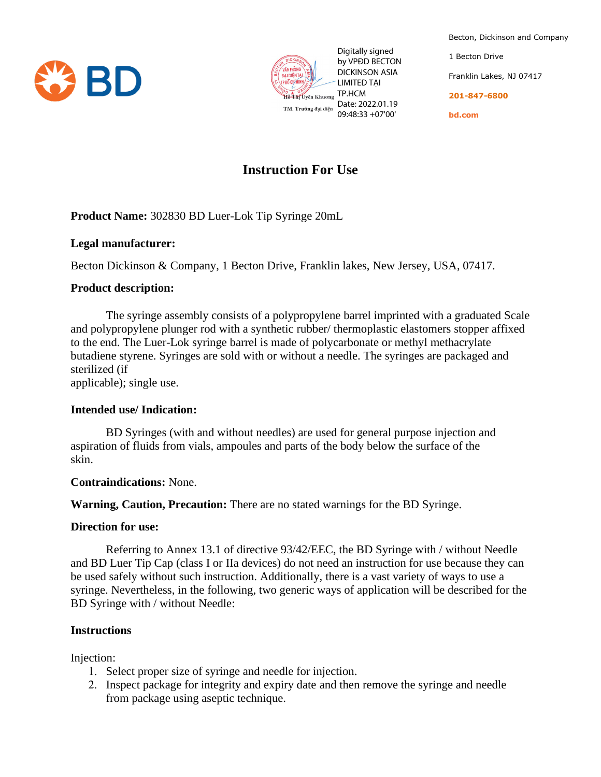



by VPĐD BECTON DICKINSON ASIA LIMITED TẠI 09:48:33 +07'00'

Becton, Dickinson and Company 1 Becton Drive Franklin Lakes, NJ 07417 **201-847-6800 bd.com**

# **Instruction For Use**

**Product Name:** 302830 BD Luer-Lok Tip Syringe 20mL

## **Legal manufacturer:**

Becton Dickinson & Company, 1 Becton Drive, Franklin lakes, New Jersey, USA, 07417.

## **Product description:**

The syringe assembly consists of a polypropylene barrel imprinted with a graduated Scale and polypropylene plunger rod with a synthetic rubber/ thermoplastic elastomers stopper affixed to the end. The Luer-Lok syringe barrel is made of polycarbonate or methyl methacrylate butadiene styrene. Syringes are sold with or without a needle. The syringes are packaged and sterilized (if From the state of the book of the book of the state of the state of the package of the package using aseptic technique.<br> **Example 1990** CORNACT THE UNITED TALL THE CHANGE UNITED TALL THE CHANGE UNITED TALL THE STATE USING

applicable); single use.

# **Intended use/ Indication:**

BD Syringes (with and without needles) are used for general purpose injection and aspiration of fluids from vials, ampoules and parts of the body below the surface of the skin.

#### **Contraindications:** None.

**Warning, Caution, Precaution:** There are no stated warnings for the BD Syringe.

#### **Direction for use:**

Referring to Annex 13.1 of directive 93/42/EEC, the BD Syringe with / without Needle and BD Luer Tip Cap (class I or IIa devices) do not need an instruction for use because they can be used safely without such instruction. Additionally, there is a vast variety of ways to use a syringe. Nevertheless, in the following, two generic ways of application will be described for the BD Syringe with / without Needle:

# **Instructions**

Injection:

- 1. Select proper size of syringe and needle for injection.
- 2. Inspect package for integrity and expiry date and then remove the syringe and needle